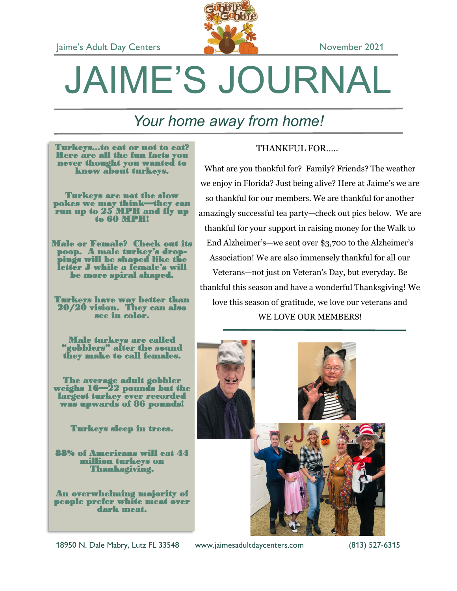

# JAIME'S JOURNAL

# *Your home away from home!*

Turkeys...to eat or not to eat? Here are all the fun facts you never thought you wanted to know about turkeys.

Turkeys are not the slow pokes we may think—they can run up to 25 MPH and fly up to 60 MPH!

Male or Female? Check out its poop. A male turkey's droppings will be shaped like the letter J while a female's will be more spiral shaped.

Turkeys have way better than 20/20 vision. They can also see in color.

Male turkeys are called "gobblers" after the sound they make to call females.

The average adult gobbler weighs 16—22 pounds but the largest turkey ever recorded was upwards of 86 pounds!

Turkeys sleep in trees.

88% of Americans will eat 44 million turkeys on Thanksgiving.

An overwhelming majority of people prefer white meat over dark meat.

#### THANKFUL FOR…..

What are you thankful for? Family? Friends? The weather we enjoy in Florida? Just being alive? Here at Jaime's we are so thankful for our members. We are thankful for another amazingly successful tea party—check out pics below. We are thankful for your support in raising money for the Walk to End Alzheimer's—we sent over \$3,700 to the Alzheimer's Association! We are also immensely thankful for all our Veterans—not just on Veteran's Day, but everyday. Be thankful this season and have a wonderful Thanksgiving! We love this season of gratitude, we love our veterans and WE LOVE OUR MEMBERS!



18950 N. Dale Mabry, Lutz FL 33548 www.jaimesadultdaycenters.com (813) 527-6315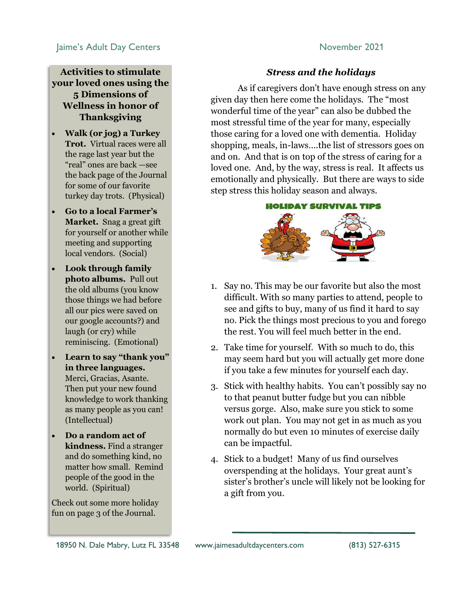#### **Jaime's Adult Day Centers November 2021**

#### **Activities to stimulate your loved ones using the 5 Dimensions of Wellness in honor of Thanksgiving**

- **Walk (or jog) a Turkey Trot.** Virtual races were all the rage last year but the "real" ones are back —see the back page of the Journal for some of our favorite turkey day trots. (Physical)
- **Go to a local Farmer's Market.** Snag a great gift for yourself or another while meeting and supporting local vendors. (Social)
- **Look through family photo albums.** Pull out the old albums (you know those things we had before all our pics were saved on our google accounts?) and laugh (or cry) while reminiscing. (Emotional)
- **Learn to say "thank you" in three languages.**  Merci, Gracias, Asante. Then put your new found knowledge to work thanking as many people as you can! (Intellectual)
- **Do a random act of kindness.** Find a stranger and do something kind, no matter how small. Remind people of the good in the world. (Spiritual)

Check out some more holiday fun on page 3 of the Journal.

#### *Stress and the holidays*

As if caregivers don't have enough stress on any given day then here come the holidays. The "most wonderful time of the year" can also be dubbed the most stressful time of the year for many, especially those caring for a loved one with dementia. Holiday shopping, meals, in-laws….the list of stressors goes on and on. And that is on top of the stress of caring for a loved one. And, by the way, stress is real. It affects us emotionally and physically. But there are ways to side step stress this holiday season and always.

#### **HOLIDAY SURVIVAL TIPS**



- 1. Say no. This may be our favorite but also the most difficult. With so many parties to attend, people to see and gifts to buy, many of us find it hard to say no. Pick the things most precious to you and forego the rest. You will feel much better in the end.
- 2. Take time for yourself. With so much to do, this may seem hard but you will actually get more done if you take a few minutes for yourself each day.
- 3. Stick with healthy habits. You can't possibly say no to that peanut butter fudge but you can nibble versus gorge. Also, make sure you stick to some work out plan. You may not get in as much as you normally do but even 10 minutes of exercise daily can be impactful.
- 4. Stick to a budget! Many of us find ourselves overspending at the holidays. Your great aunt's sister's brother's uncle will likely not be looking for a gift from you.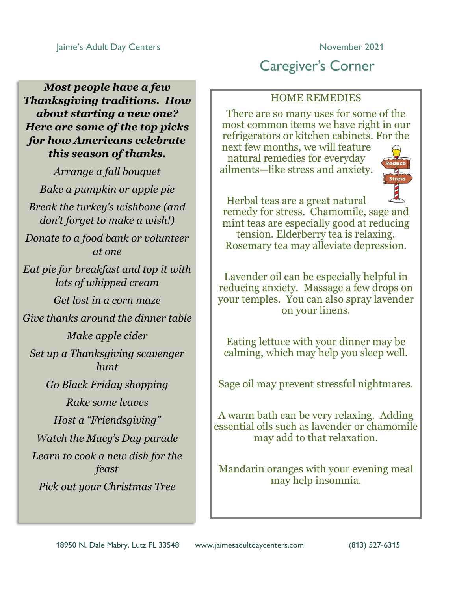*Most people have a few Thanksgiving traditions. How about starting a new one? Here are some of the top picks for how Americans celebrate this season of thanks.*

*Arrange a fall bouquet Bake a pumpkin or apple pie Break the turkey's wishbone (and don't forget to make a wish!) Donate to a food bank or volunteer at one Eat pie for breakfast and top it with lots of whipped cream Get lost in a corn maze Give thanks around the dinner table Make apple cider Set up a Thanksgiving scavenger hunt Go Black Friday shopping Rake some leaves Host a "Friendsgiving" Watch the Macy's Day parade Learn to cook a new dish for the feast Pick out your Christmas Tree*

# Caregiver's Corner

### HOME REMEDIES

There are so many uses for some of the most common items we have right in our refrigerators or kitchen cabinets. For the

next few months, we will feature natural remedies for everyday ailments—like stress and anxiety.



Herbal teas are a great natural remedy for stress. Chamomile, sage and mint teas are especially good at reducing tension. Elderberry tea is relaxing. Rosemary tea may alleviate depression.

Lavender oil can be especially helpful in reducing anxiety. Massage a few drops on your temples. You can also spray lavender on your linens.

Eating lettuce with your dinner may be calming, which may help you sleep well.

Sage oil may prevent stressful nightmares.

A warm bath can be very relaxing. Adding essential oils such as lavender or chamomile may add to that relaxation.

Mandarin oranges with your evening meal may help insomnia.